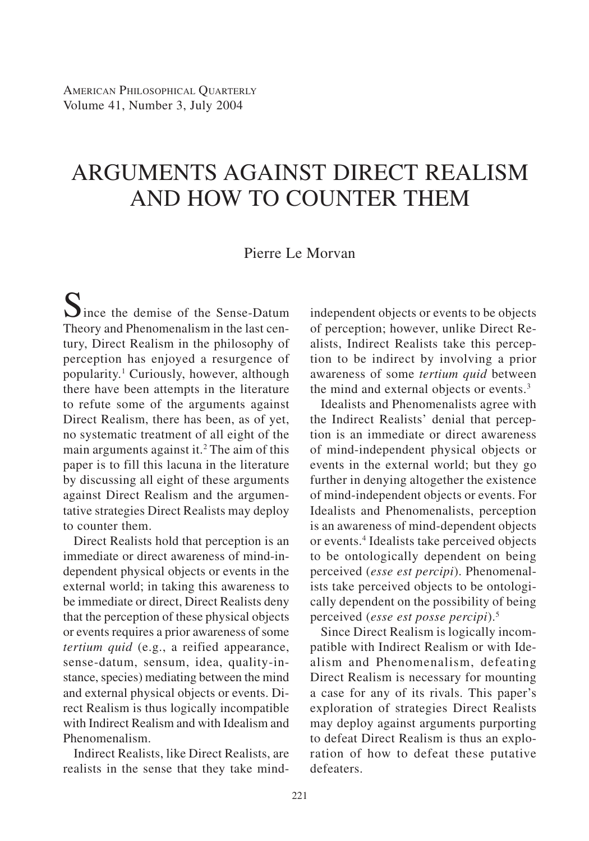# ARGUMENTS AGAINST DIRECT REALISM AND HOW TO COUNTER THEM

# Pierre Le Morvan

 $S$ ince the demise of the Sense-Datum Theory and Phenomenalism in the last century, Direct Realism in the philosophy of perception has enjoyed a resurgence of popularity.1 Curiously, however, although there have been attempts in the literature to refute some of the arguments against Direct Realism, there has been, as of yet, no systematic treatment of all eight of the main arguments against it.<sup>2</sup> The aim of this paper is to fill this lacuna in the literature by discussing all eight of these arguments against Direct Realism and the argumentative strategies Direct Realists may deploy to counter them.

Direct Realists hold that perception is an immediate or direct awareness of mind-independent physical objects or events in the external world; in taking this awareness to be immediate or direct, Direct Realists deny that the perception of these physical objects or events requires a prior awareness of some *tertium quid* (e.g., a reified appearance, sense-datum, sensum, idea, quality-instance, species) mediating between the mind and external physical objects or events. Direct Realism is thus logically incompatible with Indirect Realism and with Idealism and Phenomenalism.

Indirect Realists, like Direct Realists, are realists in the sense that they take mindindependent objects or events to be objects of perception; however, unlike Direct Realists, Indirect Realists take this perception to be indirect by involving a prior awareness of some *tertium quid* between the mind and external objects or events.<sup>3</sup>

Idealists and Phenomenalists agree with the Indirect Realists' denial that perception is an immediate or direct awareness of mind-independent physical objects or events in the external world; but they go further in denying altogether the existence of mind-independent objects or events. For Idealists and Phenomenalists, perception is an awareness of mind-dependent objects or events.4 Idealists take perceived objects to be ontologically dependent on being perceived (*esse est percipi*). Phenomenalists take perceived objects to be ontologically dependent on the possibility of being perceived (*esse est posse percipi*).5

Since Direct Realism is logically incompatible with Indirect Realism or with Idealism and Phenomenalism, defeating Direct Realism is necessary for mounting a case for any of its rivals. This paper's exploration of strategies Direct Realists may deploy against arguments purporting to defeat Direct Realism is thus an exploration of how to defeat these putative defeaters.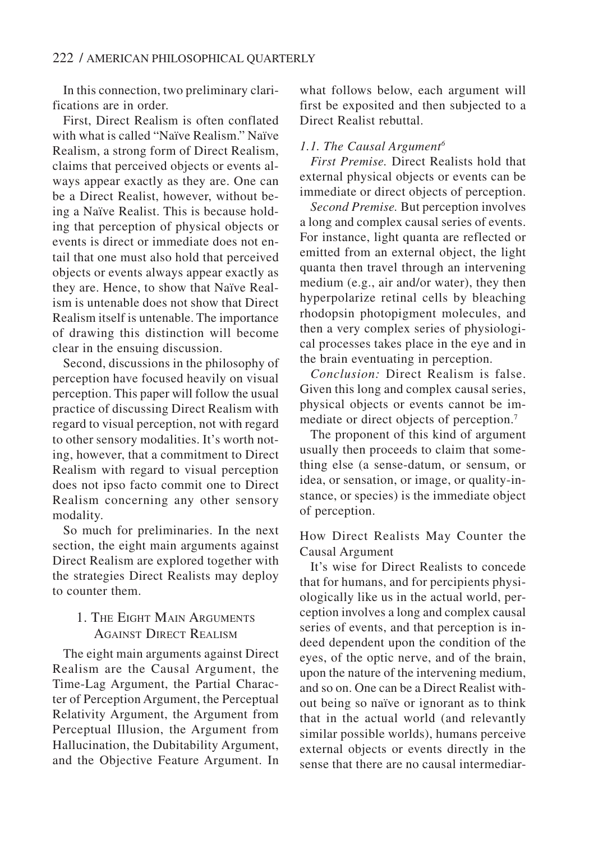In this connection, two preliminary clarifications are in order.

First, Direct Realism is often conflated with what is called "Naïve Realism." Naïve Realism, a strong form of Direct Realism, claims that perceived objects or events always appear exactly as they are. One can be a Direct Realist, however, without being a Naïve Realist. This is because holding that perception of physical objects or events is direct or immediate does not entail that one must also hold that perceived objects or events always appear exactly as they are. Hence, to show that Naïve Realism is untenable does not show that Direct Realism itself is untenable. The importance of drawing this distinction will become clear in the ensuing discussion.

Second, discussions in the philosophy of perception have focused heavily on visual perception. This paper will follow the usual practice of discussing Direct Realism with regard to visual perception, not with regard to other sensory modalities. It's worth noting, however, that a commitment to Direct Realism with regard to visual perception does not ipso facto commit one to Direct Realism concerning any other sensory modality.

So much for preliminaries. In the next section, the eight main arguments against Direct Realism are explored together with the strategies Direct Realists may deploy to counter them.

# 1. THE EIGHT MAIN ARGUMENTS AGAINST DIRECT REALISM

The eight main arguments against Direct Realism are the Causal Argument, the Time-Lag Argument, the Partial Character of Perception Argument, the Perceptual Relativity Argument, the Argument from Perceptual Illusion, the Argument from Hallucination, the Dubitability Argument, and the Objective Feature Argument. In what follows below, each argument will first be exposited and then subjected to a Direct Realist rebuttal.

## *1.1. The Causal Argument6*

*First Premise.* Direct Realists hold that external physical objects or events can be immediate or direct objects of perception.

*Second Premise.* But perception involves a long and complex causal series of events. For instance, light quanta are reflected or emitted from an external object, the light quanta then travel through an intervening medium (e.g., air and/or water), they then hyperpolarize retinal cells by bleaching rhodopsin photopigment molecules, and then a very complex series of physiological processes takes place in the eye and in the brain eventuating in perception.

*Conclusion:* Direct Realism is false. Given this long and complex causal series, physical objects or events cannot be immediate or direct objects of perception.<sup>7</sup>

The proponent of this kind of argument usually then proceeds to claim that something else (a sense-datum, or sensum, or idea, or sensation, or image, or quality-instance, or species) is the immediate object of perception.

## How Direct Realists May Counter the Causal Argument

It's wise for Direct Realists to concede that for humans, and for percipients physiologically like us in the actual world, perception involves a long and complex causal series of events, and that perception is indeed dependent upon the condition of the eyes, of the optic nerve, and of the brain, upon the nature of the intervening medium, and so on. One can be a Direct Realist without being so naïve or ignorant as to think that in the actual world (and relevantly similar possible worlds), humans perceive external objects or events directly in the sense that there are no causal intermediar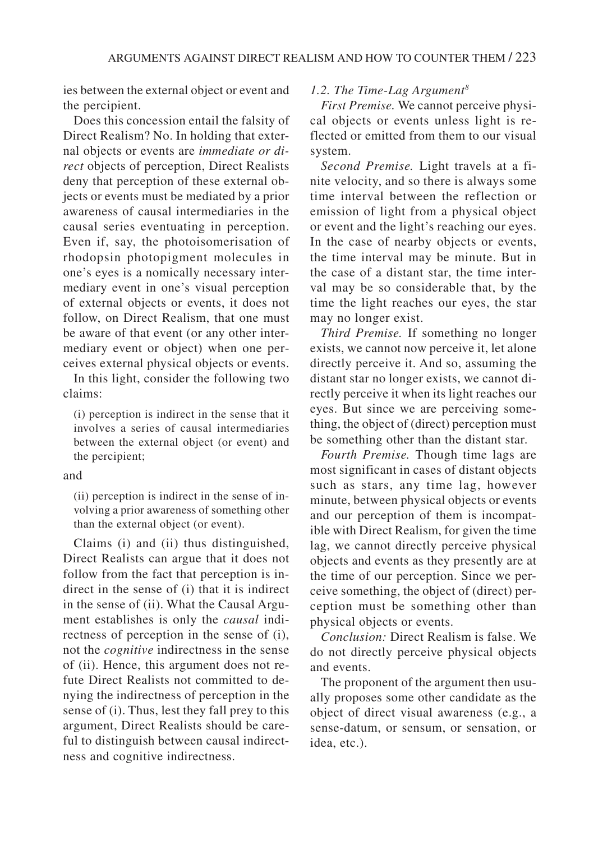ies between the external object or event and the percipient.

Does this concession entail the falsity of Direct Realism? No. In holding that external objects or events are *immediate or direct* objects of perception, Direct Realists deny that perception of these external objects or events must be mediated by a prior awareness of causal intermediaries in the causal series eventuating in perception. Even if, say, the photoisomerisation of rhodopsin photopigment molecules in one's eyes is a nomically necessary intermediary event in one's visual perception of external objects or events, it does not follow, on Direct Realism, that one must be aware of that event (or any other intermediary event or object) when one perceives external physical objects or events.

In this light, consider the following two claims:

(i) perception is indirect in the sense that it involves a series of causal intermediaries between the external object (or event) and the percipient;

#### and

(ii) perception is indirect in the sense of involving a prior awareness of something other than the external object (or event).

Claims (i) and (ii) thus distinguished, Direct Realists can argue that it does not follow from the fact that perception is indirect in the sense of (i) that it is indirect in the sense of (ii). What the Causal Argument establishes is only the *causal* indirectness of perception in the sense of (i), not the *cognitive* indirectness in the sense of (ii). Hence, this argument does not refute Direct Realists not committed to denying the indirectness of perception in the sense of (i). Thus, lest they fall prey to this argument, Direct Realists should be careful to distinguish between causal indirectness and cognitive indirectness.

## *1.2. The Time-Lag Argument8*

*First Premise.* We cannot perceive physical objects or events unless light is reflected or emitted from them to our visual system.

*Second Premise.* Light travels at a finite velocity, and so there is always some time interval between the reflection or emission of light from a physical object or event and the light's reaching our eyes. In the case of nearby objects or events, the time interval may be minute. But in the case of a distant star, the time interval may be so considerable that, by the time the light reaches our eyes, the star may no longer exist.

*Third Premise.* If something no longer exists, we cannot now perceive it, let alone directly perceive it. And so, assuming the distant star no longer exists, we cannot directly perceive it when its light reaches our eyes. But since we are perceiving something, the object of (direct) perception must be something other than the distant star.

*Fourth Premise.* Though time lags are most significant in cases of distant objects such as stars, any time lag, however minute, between physical objects or events and our perception of them is incompatible with Direct Realism, for given the time lag, we cannot directly perceive physical objects and events as they presently are at the time of our perception. Since we perceive something, the object of (direct) perception must be something other than physical objects or events.

*Conclusion:* Direct Realism is false. We do not directly perceive physical objects and events.

The proponent of the argument then usually proposes some other candidate as the object of direct visual awareness (e.g., a sense-datum, or sensum, or sensation, or idea, etc.).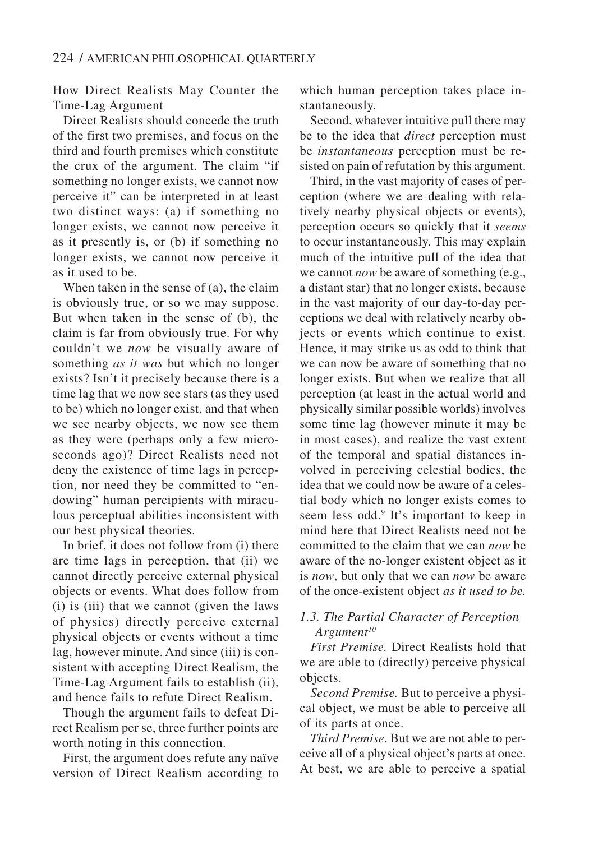How Direct Realists May Counter the Time-Lag Argument

Direct Realists should concede the truth of the first two premises, and focus on the third and fourth premises which constitute the crux of the argument. The claim "if something no longer exists, we cannot now perceive it" can be interpreted in at least two distinct ways: (a) if something no longer exists, we cannot now perceive it as it presently is, or (b) if something no longer exists, we cannot now perceive it as it used to be.

When taken in the sense of (a), the claim is obviously true, or so we may suppose. But when taken in the sense of (b), the claim is far from obviously true. For why couldn't we *now* be visually aware of something *as it was* but which no longer exists? Isn't it precisely because there is a time lag that we now see stars (as they used to be) which no longer exist, and that when we see nearby objects, we now see them as they were (perhaps only a few microseconds ago)? Direct Realists need not deny the existence of time lags in perception, nor need they be committed to "endowing" human percipients with miraculous perceptual abilities inconsistent with our best physical theories.

In brief, it does not follow from (i) there are time lags in perception, that (ii) we cannot directly perceive external physical objects or events. What does follow from (i) is (iii) that we cannot (given the laws of physics) directly perceive external physical objects or events without a time lag, however minute. And since (iii) is consistent with accepting Direct Realism, the Time-Lag Argument fails to establish (ii), and hence fails to refute Direct Realism.

Though the argument fails to defeat Direct Realism per se, three further points are worth noting in this connection.

First, the argument does refute any naïve version of Direct Realism according to which human perception takes place instantaneously.

Second, whatever intuitive pull there may be to the idea that *direct* perception must be *instantaneous* perception must be resisted on pain of refutation by this argument.

Third, in the vast majority of cases of perception (where we are dealing with relatively nearby physical objects or events), perception occurs so quickly that it *seems* to occur instantaneously. This may explain much of the intuitive pull of the idea that we cannot *now* be aware of something (e.g., a distant star) that no longer exists, because in the vast majority of our day-to-day perceptions we deal with relatively nearby objects or events which continue to exist. Hence, it may strike us as odd to think that we can now be aware of something that no longer exists. But when we realize that all perception (at least in the actual world and physically similar possible worlds) involves some time lag (however minute it may be in most cases), and realize the vast extent of the temporal and spatial distances involved in perceiving celestial bodies, the idea that we could now be aware of a celestial body which no longer exists comes to seem less odd.<sup>9</sup> It's important to keep in mind here that Direct Realists need not be committed to the claim that we can *now* be aware of the no-longer existent object as it is *now*, but only that we can *now* be aware of the once-existent object *as it used to be.*

# *1.3. The Partial Character of Perception Argument10*

*First Premise.* Direct Realists hold that we are able to (directly) perceive physical objects.

*Second Premise.* But to perceive a physical object, we must be able to perceive all of its parts at once.

*Third Premise*. But we are not able to perceive all of a physical object's parts at once. At best, we are able to perceive a spatial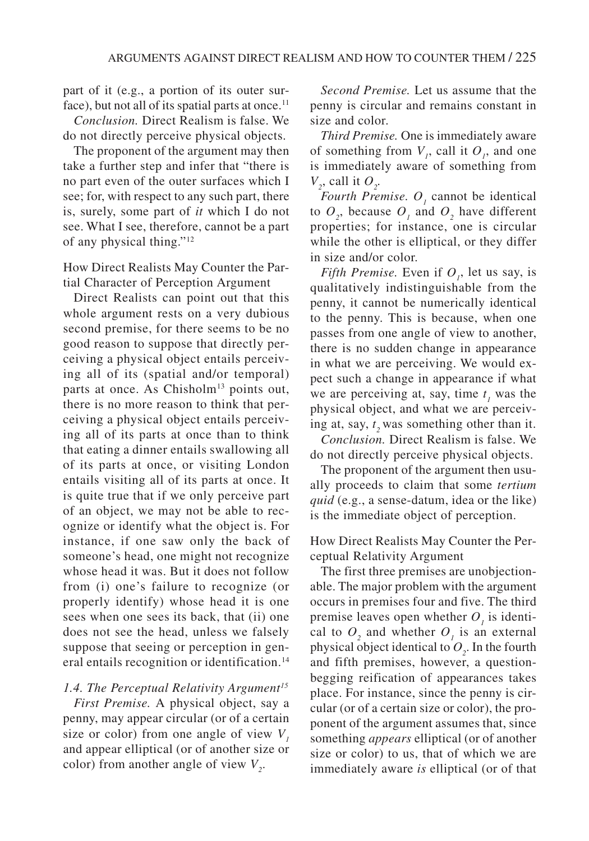part of it (e.g., a portion of its outer surface), but not all of its spatial parts at once.<sup>11</sup>

*Conclusion.* Direct Realism is false. We do not directly perceive physical objects.

The proponent of the argument may then take a further step and infer that "there is no part even of the outer surfaces which I see; for, with respect to any such part, there is, surely, some part of *it* which I do not see. What I see, therefore, cannot be a part of any physical thing."12

How Direct Realists May Counter the Partial Character of Perception Argument

Direct Realists can point out that this whole argument rests on a very dubious second premise, for there seems to be no good reason to suppose that directly perceiving a physical object entails perceiving all of its (spatial and/or temporal) parts at once. As Chisholm<sup>13</sup> points out, there is no more reason to think that perceiving a physical object entails perceiving all of its parts at once than to think that eating a dinner entails swallowing all of its parts at once, or visiting London entails visiting all of its parts at once. It is quite true that if we only perceive part of an object, we may not be able to recognize or identify what the object is. For instance, if one saw only the back of someone's head, one might not recognize whose head it was. But it does not follow from (i) one's failure to recognize (or properly identify) whose head it is one sees when one sees its back, that (ii) one does not see the head, unless we falsely suppose that seeing or perception in general entails recognition or identification.<sup>14</sup>

## *1.4. The Perceptual Relativity Argument15*

*First Premise.* A physical object, say a penny, may appear circular (or of a certain size or color) from one angle of view  $V<sub>1</sub>$ and appear elliptical (or of another size or color) from another angle of view  $V_2$ .

*Second Premise.* Let us assume that the penny is circular and remains constant in size and color.

*Third Premise.* One is immediately aware of something from  $V_i$ , call it  $O_i$ , and one is immediately aware of something from  $V_2$ , call it  $O_2$ .

*Fourth Premise.*  $O<sub>j</sub>$  cannot be identical to  $O_2$ , because  $O_1$  and  $O_2$  have different properties; for instance, one is circular while the other is elliptical, or they differ in size and/or color.

*Fifth Premise.* Even if  $O<sub>i</sub>$ , let us say, is qualitatively indistinguishable from the penny, it cannot be numerically identical to the penny. This is because, when one passes from one angle of view to another, there is no sudden change in appearance in what we are perceiving. We would expect such a change in appearance if what we are perceiving at, say, time  $t_1$  was the physical object, and what we are perceiving at, say,  $t_2$  was something other than it.

*Conclusion.* Direct Realism is false. We do not directly perceive physical objects.

The proponent of the argument then usually proceeds to claim that some *tertium quid* (e.g., a sense-datum, idea or the like) is the immediate object of perception.

How Direct Realists May Counter the Perceptual Relativity Argument

The first three premises are unobjectionable. The major problem with the argument occurs in premises four and five. The third premise leaves open whether  $O<sub>j</sub>$  is identical to  $O_2$  and whether  $O_1$  is an external physical object identical to  $O_2$ . In the fourth and fifth premises, however, a questionbegging reification of appearances takes place. For instance, since the penny is circular (or of a certain size or color), the proponent of the argument assumes that, since something *appears* elliptical (or of another size or color) to us, that of which we are immediately aware *is* elliptical (or of that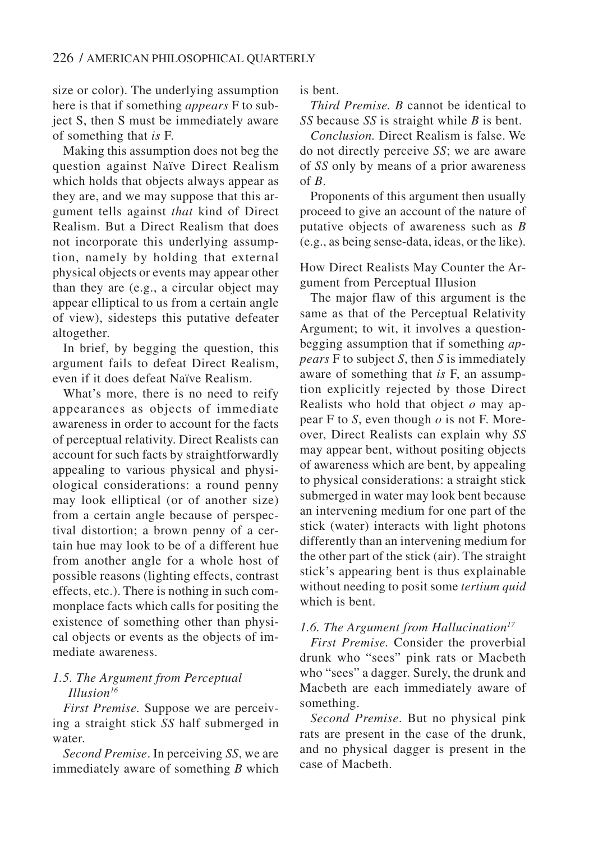size or color). The underlying assumption here is that if something *appears* F to subject S, then S must be immediately aware of something that *is* F.

Making this assumption does not beg the question against Naïve Direct Realism which holds that objects always appear as they are, and we may suppose that this argument tells against *that* kind of Direct Realism. But a Direct Realism that does not incorporate this underlying assumption, namely by holding that external physical objects or events may appear other than they are (e.g., a circular object may appear elliptical to us from a certain angle of view), sidesteps this putative defeater altogether.

In brief, by begging the question, this argument fails to defeat Direct Realism, even if it does defeat Naïve Realism.

What's more, there is no need to reify appearances as objects of immediate awareness in order to account for the facts of perceptual relativity. Direct Realists can account for such facts by straightforwardly appealing to various physical and physiological considerations: a round penny may look elliptical (or of another size) from a certain angle because of perspectival distortion; a brown penny of a certain hue may look to be of a different hue from another angle for a whole host of possible reasons (lighting effects, contrast effects, etc.). There is nothing in such commonplace facts which calls for positing the existence of something other than physical objects or events as the objects of immediate awareness.

# *1.5. The Argument from Perceptual Illusion16*

*First Premise.* Suppose we are perceiving a straight stick *SS* half submerged in water.

*Second Premise*. In perceiving *SS*, we are immediately aware of something *B* which is bent.

*Third Premise. B* cannot be identical to *SS* because *SS* is straight while *B* is bent.

*Conclusion.* Direct Realism is false. We do not directly perceive *SS*; we are aware of *SS* only by means of a prior awareness of *B*.

Proponents of this argument then usually proceed to give an account of the nature of putative objects of awareness such as *B* (e.g., as being sense-data, ideas, or the like).

How Direct Realists May Counter the Argument from Perceptual Illusion

The major flaw of this argument is the same as that of the Perceptual Relativity Argument; to wit, it involves a questionbegging assumption that if something *appears* F to subject *S*, then *S* is immediately aware of something that *is* F, an assumption explicitly rejected by those Direct Realists who hold that object *o* may appear F to *S*, even though *o* is not F. Moreover, Direct Realists can explain why *SS* may appear bent, without positing objects of awareness which are bent, by appealing to physical considerations: a straight stick submerged in water may look bent because an intervening medium for one part of the stick (water) interacts with light photons differently than an intervening medium for the other part of the stick (air). The straight stick's appearing bent is thus explainable without needing to posit some *tertium quid* which is bent.

# *1.6. The Argument from Hallucination17*

*First Premise.* Consider the proverbial drunk who "sees" pink rats or Macbeth who "sees" a dagger. Surely, the drunk and Macbeth are each immediately aware of something.

*Second Premise*. But no physical pink rats are present in the case of the drunk, and no physical dagger is present in the case of Macbeth.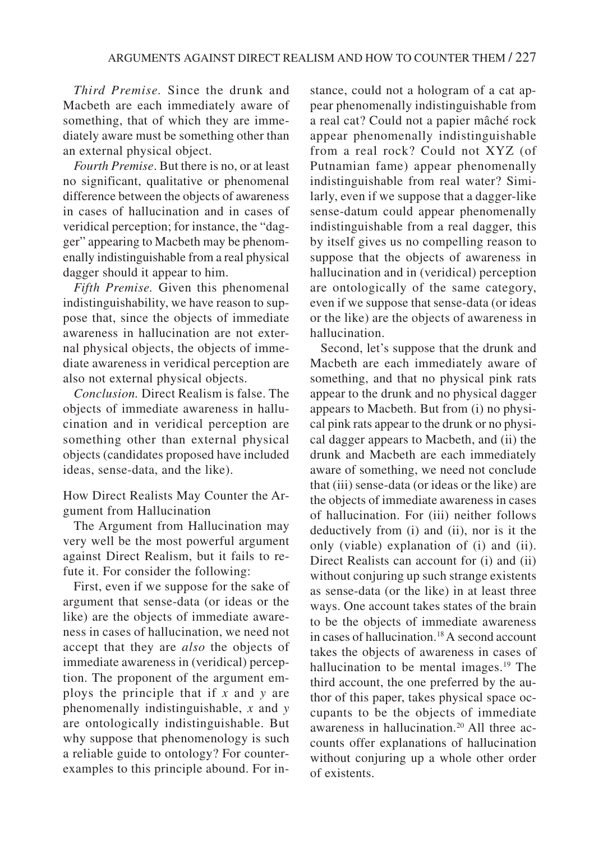*Third Premise.* Since the drunk and Macbeth are each immediately aware of something, that of which they are immediately aware must be something other than an external physical object.

*Fourth Premise*. But there is no, or at least no significant, qualitative or phenomenal difference between the objects of awareness in cases of hallucination and in cases of veridical perception; for instance, the "dagger" appearing to Macbeth may be phenomenally indistinguishable from a real physical dagger should it appear to him.

*Fifth Premise.* Given this phenomenal indistinguishability, we have reason to suppose that, since the objects of immediate awareness in hallucination are not external physical objects, the objects of immediate awareness in veridical perception are also not external physical objects.

*Conclusion.* Direct Realism is false. The objects of immediate awareness in hallucination and in veridical perception are something other than external physical objects (candidates proposed have included ideas, sense-data, and the like).

How Direct Realists May Counter the Argument from Hallucination

The Argument from Hallucination may very well be the most powerful argument against Direct Realism, but it fails to refute it. For consider the following:

First, even if we suppose for the sake of argument that sense-data (or ideas or the like) are the objects of immediate awareness in cases of hallucination, we need not accept that they are *also* the objects of immediate awareness in (veridical) perception. The proponent of the argument employs the principle that if *x* and *y* are phenomenally indistinguishable, *x* and *y* are ontologically indistinguishable. But why suppose that phenomenology is such a reliable guide to ontology? For counterexamples to this principle abound. For in-

stance, could not a hologram of a cat appear phenomenally indistinguishable from a real cat? Could not a papier mâché rock appear phenomenally indistinguishable from a real rock? Could not XYZ (of Putnamian fame) appear phenomenally indistinguishable from real water? Similarly, even if we suppose that a dagger-like sense-datum could appear phenomenally indistinguishable from a real dagger, this by itself gives us no compelling reason to suppose that the objects of awareness in hallucination and in (veridical) perception are ontologically of the same category, even if we suppose that sense-data (or ideas or the like) are the objects of awareness in hallucination.

Second, let's suppose that the drunk and Macbeth are each immediately aware of something, and that no physical pink rats appear to the drunk and no physical dagger appears to Macbeth. But from (i) no physical pink rats appear to the drunk or no physical dagger appears to Macbeth, and (ii) the drunk and Macbeth are each immediately aware of something, we need not conclude that (iii) sense-data (or ideas or the like) are the objects of immediate awareness in cases of hallucination. For (iii) neither follows deductively from (i) and (ii), nor is it the only (viable) explanation of (i) and (ii). Direct Realists can account for (i) and (ii) without conjuring up such strange existents as sense-data (or the like) in at least three ways. One account takes states of the brain to be the objects of immediate awareness in cases of hallucination.18 A second account takes the objects of awareness in cases of hallucination to be mental images.<sup>19</sup> The third account, the one preferred by the author of this paper, takes physical space occupants to be the objects of immediate awareness in hallucination.<sup>20</sup> All three accounts offer explanations of hallucination without conjuring up a whole other order of existents.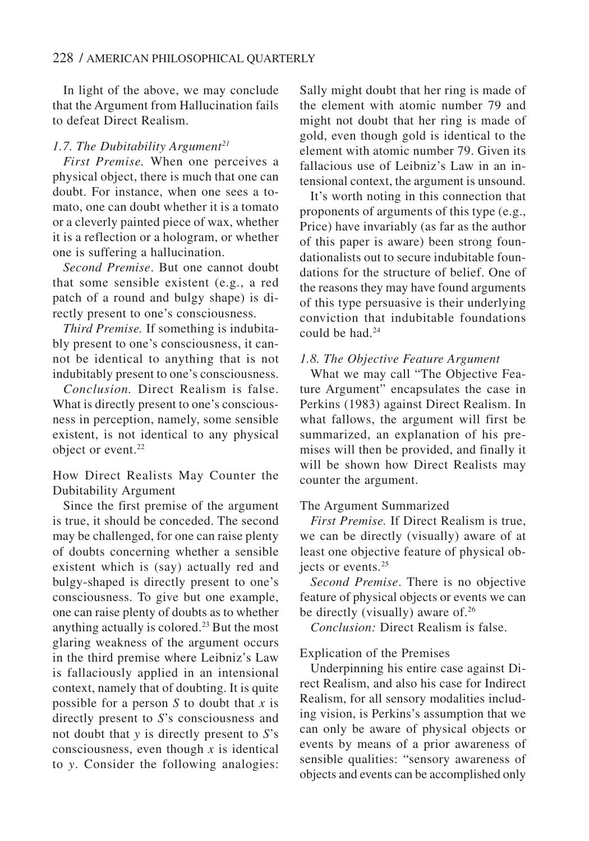In light of the above, we may conclude that the Argument from Hallucination fails to defeat Direct Realism.

#### 1.7. The Dubitability Argument<sup>21</sup>

*First Premise.* When one perceives a physical object, there is much that one can doubt. For instance, when one sees a tomato, one can doubt whether it is a tomato or a cleverly painted piece of wax, whether it is a reflection or a hologram, or whether one is suffering a hallucination.

*Second Premise*. But one cannot doubt that some sensible existent (e.g., a red patch of a round and bulgy shape) is directly present to one's consciousness.

*Third Premise.* If something is indubitably present to one's consciousness, it cannot be identical to anything that is not indubitably present to one's consciousness.

*Conclusion.* Direct Realism is false. What is directly present to one's consciousness in perception, namely, some sensible existent, is not identical to any physical object or event.<sup>22</sup>

How Direct Realists May Counter the Dubitability Argument

Since the first premise of the argument is true, it should be conceded. The second may be challenged, for one can raise plenty of doubts concerning whether a sensible existent which is (say) actually red and bulgy-shaped is directly present to one's consciousness. To give but one example, one can raise plenty of doubts as to whether anything actually is colored.<sup>23</sup> But the most glaring weakness of the argument occurs in the third premise where Leibniz's Law is fallaciously applied in an intensional context, namely that of doubting. It is quite possible for a person *S* to doubt that *x* is directly present to *S*'s consciousness and not doubt that *y* is directly present to *S*'s consciousness, even though  $\overline{x}$  is identical to *y*. Consider the following analogies:

Sally might doubt that her ring is made of the element with atomic number 79 and might not doubt that her ring is made of gold, even though gold is identical to the element with atomic number 79. Given its fallacious use of Leibniz's Law in an intensional context, the argument is unsound.

It's worth noting in this connection that proponents of arguments of this type (e.g., Price) have invariably (as far as the author of this paper is aware) been strong foundationalists out to secure indubitable foundations for the structure of belief. One of the reasons they may have found arguments of this type persuasive is their underlying conviction that indubitable foundations could be had.<sup>24</sup>

#### *1.8. The Objective Feature Argument*

What we may call "The Objective Feature Argument" encapsulates the case in Perkins (1983) against Direct Realism. In what fallows, the argument will first be summarized, an explanation of his premises will then be provided, and finally it will be shown how Direct Realists may counter the argument.

#### The Argument Summarized

*First Premise.* If Direct Realism is true, we can be directly (visually) aware of at least one objective feature of physical objects or events.<sup>25</sup>

*Second Premise*. There is no objective feature of physical objects or events we can be directly (visually) aware of. $26$ 

*Conclusion:* Direct Realism is false.

#### Explication of the Premises

Underpinning his entire case against Direct Realism, and also his case for Indirect Realism, for all sensory modalities including vision, is Perkins's assumption that we can only be aware of physical objects or events by means of a prior awareness of sensible qualities: "sensory awareness of objects and events can be accomplished only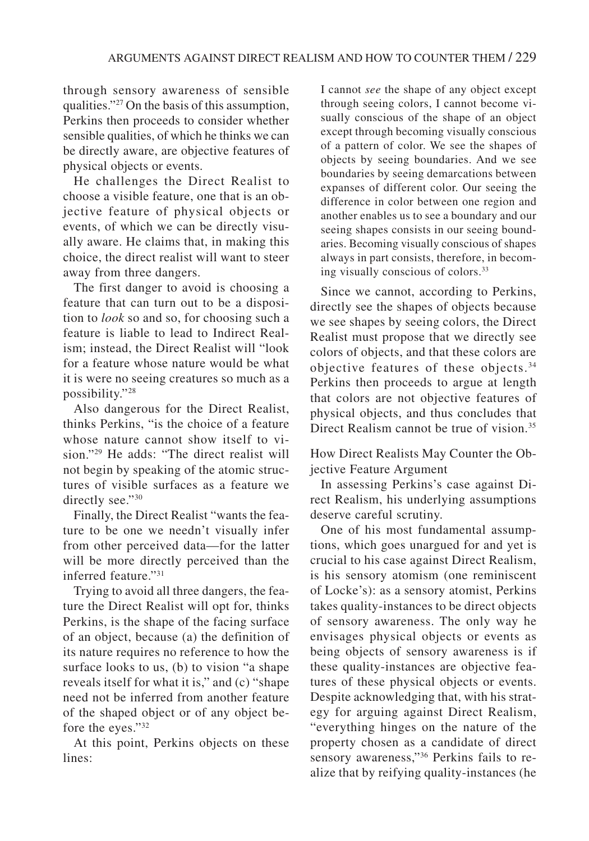through sensory awareness of sensible qualities."27 On the basis of this assumption, Perkins then proceeds to consider whether sensible qualities, of which he thinks we can be directly aware, are objective features of physical objects or events.

He challenges the Direct Realist to choose a visible feature, one that is an objective feature of physical objects or events, of which we can be directly visually aware. He claims that, in making this choice, the direct realist will want to steer away from three dangers.

The first danger to avoid is choosing a feature that can turn out to be a disposition to *look* so and so, for choosing such a feature is liable to lead to Indirect Realism; instead, the Direct Realist will "look for a feature whose nature would be what it is were no seeing creatures so much as a possibility."28

Also dangerous for the Direct Realist, thinks Perkins, "is the choice of a feature whose nature cannot show itself to vision."29 He adds: "The direct realist will not begin by speaking of the atomic structures of visible surfaces as a feature we directly see."30

Finally, the Direct Realist "wants the feature to be one we needn't visually infer from other perceived data—for the latter will be more directly perceived than the inferred feature."31

Trying to avoid all three dangers, the feature the Direct Realist will opt for, thinks Perkins, is the shape of the facing surface of an object, because (a) the definition of its nature requires no reference to how the surface looks to us, (b) to vision "a shape reveals itself for what it is," and (c) "shape need not be inferred from another feature of the shaped object or of any object before the eyes."32

At this point, Perkins objects on these lines:

I cannot *see* the shape of any object except through seeing colors, I cannot become visually conscious of the shape of an object except through becoming visually conscious of a pattern of color. We see the shapes of objects by seeing boundaries. And we see boundaries by seeing demarcations between expanses of different color. Our seeing the difference in color between one region and another enables us to see a boundary and our seeing shapes consists in our seeing boundaries. Becoming visually conscious of shapes always in part consists, therefore, in becoming visually conscious of colors.33

Since we cannot, according to Perkins, directly see the shapes of objects because we see shapes by seeing colors, the Direct Realist must propose that we directly see colors of objects, and that these colors are objective features of these objects.34 Perkins then proceeds to argue at length that colors are not objective features of physical objects, and thus concludes that Direct Realism cannot be true of vision.<sup>35</sup>

How Direct Realists May Counter the Objective Feature Argument

In assessing Perkins's case against Direct Realism, his underlying assumptions deserve careful scrutiny.

One of his most fundamental assumptions, which goes unargued for and yet is crucial to his case against Direct Realism, is his sensory atomism (one reminiscent of Locke's): as a sensory atomist, Perkins takes quality-instances to be direct objects of sensory awareness. The only way he envisages physical objects or events as being objects of sensory awareness is if these quality-instances are objective features of these physical objects or events. Despite acknowledging that, with his strategy for arguing against Direct Realism, "everything hinges on the nature of the property chosen as a candidate of direct sensory awareness,"<sup>36</sup> Perkins fails to realize that by reifying quality-instances (he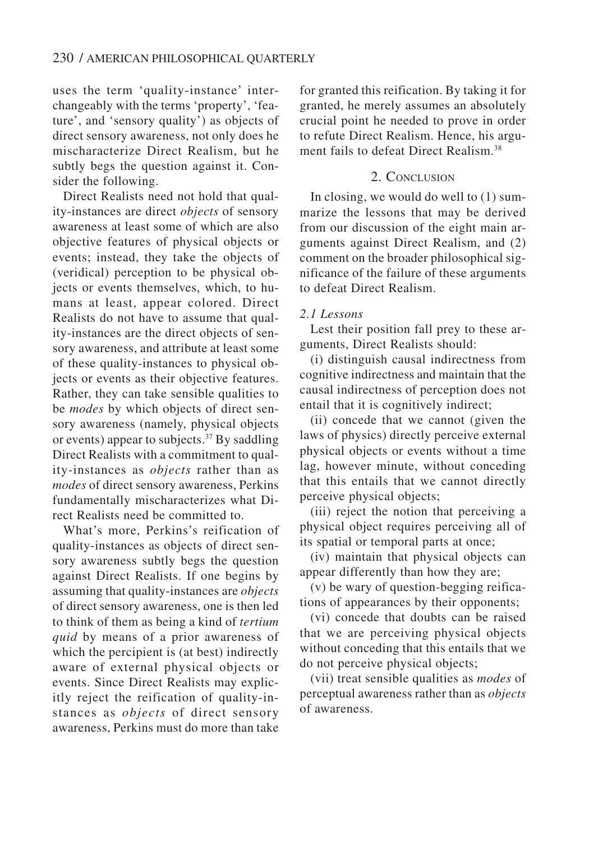uses the term 'quality-instance' interchangeably with the terms 'property', 'feature', and 'sensory quality') as objects of direct sensory awareness, not only does he mischaracterize Direct Realism, but he subtly begs the question against it. Consider the following.

Direct Realists need not hold that quality-instances are direct *objects* of sensory awareness at least some of which are also objective features of physical objects or events; instead, they take the objects of (veridical) perception to be physical objects or events themselves, which, to humans at least, appear colored. Direct Realists do not have to assume that quality-instances are the direct objects of sensory awareness, and attribute at least some of these quality-instances to physical objects or events as their objective features. Rather, they can take sensible qualities to be *modes* by which objects of direct sensory awareness (namely, physical objects or events) appear to subjects.<sup>37</sup> By saddling Direct Realists with a commitment to quality-instances as *objects* rather than as *modes* of direct sensory awareness, Perkins fundamentally mischaracterizes what Direct Realists need be committed to.

What's more, Perkins's reification of quality-instances as objects of direct sensory awareness subtly begs the question against Direct Realists. If one begins by assuming that quality-instances are *objects* of direct sensory awareness, one is then led to think of them as being a kind of *tertium quid* by means of a prior awareness of which the percipient is (at best) indirectly aware of external physical objects or events. Since Direct Realists may explicitly reject the reification of quality-instances as *objects* of direct sensory awareness, Perkins must do more than take

for granted this reification. By taking it for granted, he merely assumes an absolutely crucial point he needed to prove in order to refute Direct Realism. Hence, his argument fails to defeat Direct Realism.<sup>38</sup>

#### 2. CONCLUSION

In closing, we would do well to (1) summarize the lessons that may be derived from our discussion of the eight main arguments against Direct Realism, and (2) comment on the broader philosophical significance of the failure of these arguments to defeat Direct Realism.

#### *2.1 Lessons*

Lest their position fall prey to these arguments, Direct Realists should:

(i) distinguish causal indirectness from cognitive indirectness and maintain that the causal indirectness of perception does not entail that it is cognitively indirect;

(ii) concede that we cannot (given the laws of physics) directly perceive external physical objects or events without a time lag, however minute, without conceding that this entails that we cannot directly perceive physical objects;

(iii) reject the notion that perceiving a physical object requires perceiving all of its spatial or temporal parts at once;

(iv) maintain that physical objects can appear differently than how they are;

(v) be wary of question-begging reifications of appearances by their opponents;

(vi) concede that doubts can be raised that we are perceiving physical objects without conceding that this entails that we do not perceive physical objects;

(vii) treat sensible qualities as *modes* of perceptual awareness rather than as *objects* of awareness.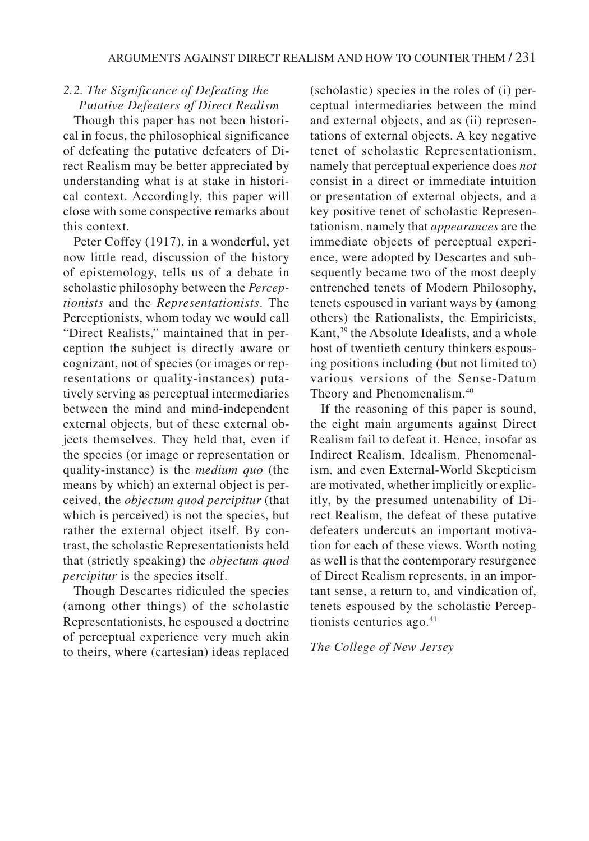# *2.2. The Significance of Defeating the Putative Defeaters of Direct Realism*

Though this paper has not been historical in focus, the philosophical significance of defeating the putative defeaters of Direct Realism may be better appreciated by understanding what is at stake in historical context. Accordingly, this paper will close with some conspective remarks about this context.

Peter Coffey (1917), in a wonderful, yet now little read, discussion of the history of epistemology, tells us of a debate in scholastic philosophy between the *Perceptionists* and the *Representationists*. The Perceptionists, whom today we would call "Direct Realists," maintained that in perception the subject is directly aware or cognizant, not of species (or images or representations or quality-instances) putatively serving as perceptual intermediaries between the mind and mind-independent external objects, but of these external objects themselves. They held that, even if the species (or image or representation or quality-instance) is the *medium quo* (the means by which) an external object is perceived, the *objectum quod percipitur* (that which is perceived) is not the species, but rather the external object itself. By contrast, the scholastic Representationists held that (strictly speaking) the *objectum quod percipitur* is the species itself.

Though Descartes ridiculed the species (among other things) of the scholastic Representationists, he espoused a doctrine of perceptual experience very much akin to theirs, where (cartesian) ideas replaced (scholastic) species in the roles of (i) perceptual intermediaries between the mind and external objects, and as (ii) representations of external objects. A key negative tenet of scholastic Representationism, namely that perceptual experience does *not* consist in a direct or immediate intuition or presentation of external objects, and a key positive tenet of scholastic Representationism, namely that *appearances* are the immediate objects of perceptual experience, were adopted by Descartes and subsequently became two of the most deeply entrenched tenets of Modern Philosophy, tenets espoused in variant ways by (among others) the Rationalists, the Empiricists, Kant,<sup>39</sup> the Absolute Idealists, and a whole host of twentieth century thinkers espousing positions including (but not limited to) various versions of the Sense-Datum Theory and Phenomenalism.<sup>40</sup>

If the reasoning of this paper is sound, the eight main arguments against Direct Realism fail to defeat it. Hence, insofar as Indirect Realism, Idealism, Phenomenalism, and even External-World Skepticism are motivated, whether implicitly or explicitly, by the presumed untenability of Direct Realism, the defeat of these putative defeaters undercuts an important motivation for each of these views. Worth noting as well is that the contemporary resurgence of Direct Realism represents, in an important sense, a return to, and vindication of, tenets espoused by the scholastic Perceptionists centuries ago.<sup>41</sup>

#### *The College of New Jersey*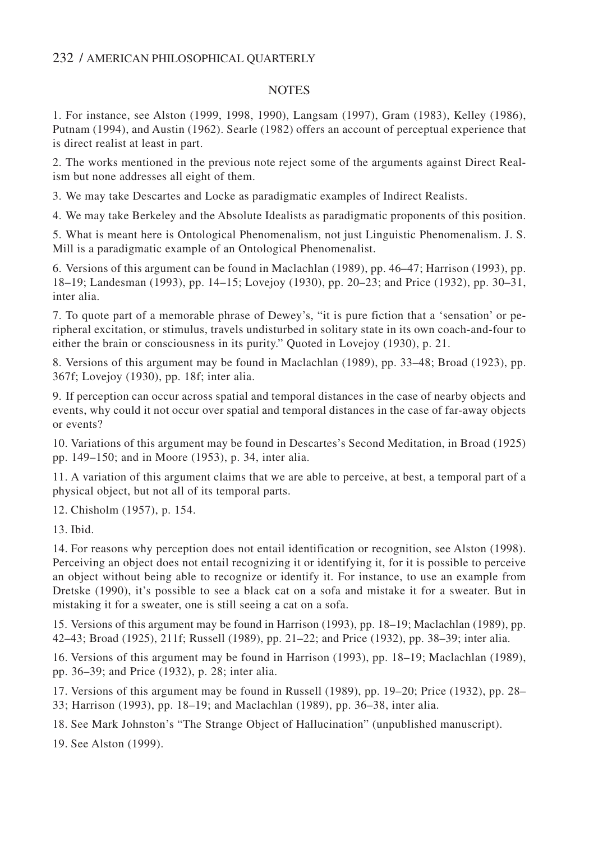## 232 / AMERICAN PHILOSOPHICAL QUARTERLY

## **NOTES**

1. For instance, see Alston (1999, 1998, 1990), Langsam (1997), Gram (1983), Kelley (1986), Putnam (1994), and Austin (1962). Searle (1982) offers an account of perceptual experience that is direct realist at least in part.

2. The works mentioned in the previous note reject some of the arguments against Direct Realism but none addresses all eight of them.

3. We may take Descartes and Locke as paradigmatic examples of Indirect Realists.

4. We may take Berkeley and the Absolute Idealists as paradigmatic proponents of this position.

5. What is meant here is Ontological Phenomenalism, not just Linguistic Phenomenalism. J. S. Mill is a paradigmatic example of an Ontological Phenomenalist.

6. Versions of this argument can be found in Maclachlan (1989), pp. 46–47; Harrison (1993), pp. 18–19; Landesman (1993), pp. 14–15; Lovejoy (1930), pp. 20–23; and Price (1932), pp. 30–31, inter alia.

7. To quote part of a memorable phrase of Dewey's, "it is pure fiction that a 'sensation' or peripheral excitation, or stimulus, travels undisturbed in solitary state in its own coach-and-four to either the brain or consciousness in its purity." Quoted in Lovejoy (1930), p. 21.

8. Versions of this argument may be found in Maclachlan (1989), pp. 33–48; Broad (1923), pp. 367f; Lovejoy (1930), pp. 18f; inter alia.

9. If perception can occur across spatial and temporal distances in the case of nearby objects and events, why could it not occur over spatial and temporal distances in the case of far-away objects or events?

10. Variations of this argument may be found in Descartes's Second Meditation, in Broad (1925) pp. 149–150; and in Moore (1953), p. 34, inter alia.

11. A variation of this argument claims that we are able to perceive, at best, a temporal part of a physical object, but not all of its temporal parts.

12. Chisholm (1957), p. 154.

13. Ibid.

14. For reasons why perception does not entail identification or recognition, see Alston (1998). Perceiving an object does not entail recognizing it or identifying it, for it is possible to perceive an object without being able to recognize or identify it. For instance, to use an example from Dretske (1990), it's possible to see a black cat on a sofa and mistake it for a sweater. But in mistaking it for a sweater, one is still seeing a cat on a sofa.

15. Versions of this argument may be found in Harrison (1993), pp. 18–19; Maclachlan (1989), pp. 42–43; Broad (1925), 211f; Russell (1989), pp. 21–22; and Price (1932), pp. 38–39; inter alia.

16. Versions of this argument may be found in Harrison (1993), pp. 18–19; Maclachlan (1989), pp. 36–39; and Price (1932), p. 28; inter alia.

17. Versions of this argument may be found in Russell (1989), pp. 19–20; Price (1932), pp. 28– 33; Harrison (1993), pp. 18–19; and Maclachlan (1989), pp. 36–38, inter alia.

18. See Mark Johnston's "The Strange Object of Hallucination" (unpublished manuscript).

19. See Alston (1999).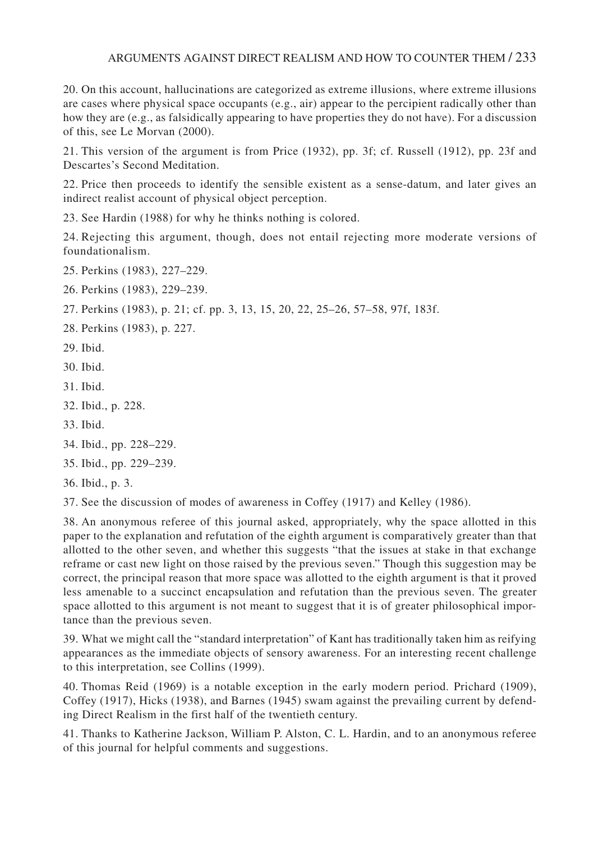## ARGUMENTS AGAINST DIRECT REALISM AND HOW TO COUNTER THEM / 233

20. On this account, hallucinations are categorized as extreme illusions, where extreme illusions are cases where physical space occupants (e.g., air) appear to the percipient radically other than how they are (e.g., as falsidically appearing to have properties they do not have). For a discussion of this, see Le Morvan (2000).

21. This version of the argument is from Price (1932), pp. 3f; cf. Russell (1912), pp. 23f and Descartes's Second Meditation.

22. Price then proceeds to identify the sensible existent as a sense-datum, and later gives an indirect realist account of physical object perception.

23. See Hardin (1988) for why he thinks nothing is colored.

24. Rejecting this argument, though, does not entail rejecting more moderate versions of foundationalism.

- 25. Perkins (1983), 227–229.
- 26. Perkins (1983), 229–239.
- 27. Perkins (1983), p. 21; cf. pp. 3, 13, 15, 20, 22, 25–26, 57–58, 97f, 183f.

28. Perkins (1983), p. 227.

- 29. Ibid.
- 30. Ibid.
- 31. Ibid.
- 32. Ibid., p. 228.
- 33. Ibid.
- 34. Ibid., pp. 228–229.
- 35. Ibid., pp. 229–239.
- 36. Ibid., p. 3.

37. See the discussion of modes of awareness in Coffey (1917) and Kelley (1986).

38. An anonymous referee of this journal asked, appropriately, why the space allotted in this paper to the explanation and refutation of the eighth argument is comparatively greater than that allotted to the other seven, and whether this suggests "that the issues at stake in that exchange reframe or cast new light on those raised by the previous seven." Though this suggestion may be correct, the principal reason that more space was allotted to the eighth argument is that it proved less amenable to a succinct encapsulation and refutation than the previous seven. The greater space allotted to this argument is not meant to suggest that it is of greater philosophical importance than the previous seven.

39. What we might call the "standard interpretation" of Kant has traditionally taken him as reifying appearances as the immediate objects of sensory awareness. For an interesting recent challenge to this interpretation, see Collins (1999).

40. Thomas Reid (1969) is a notable exception in the early modern period. Prichard (1909), Coffey (1917), Hicks (1938), and Barnes (1945) swam against the prevailing current by defending Direct Realism in the first half of the twentieth century.

41. Thanks to Katherine Jackson, William P. Alston, C. L. Hardin, and to an anonymous referee of this journal for helpful comments and suggestions.